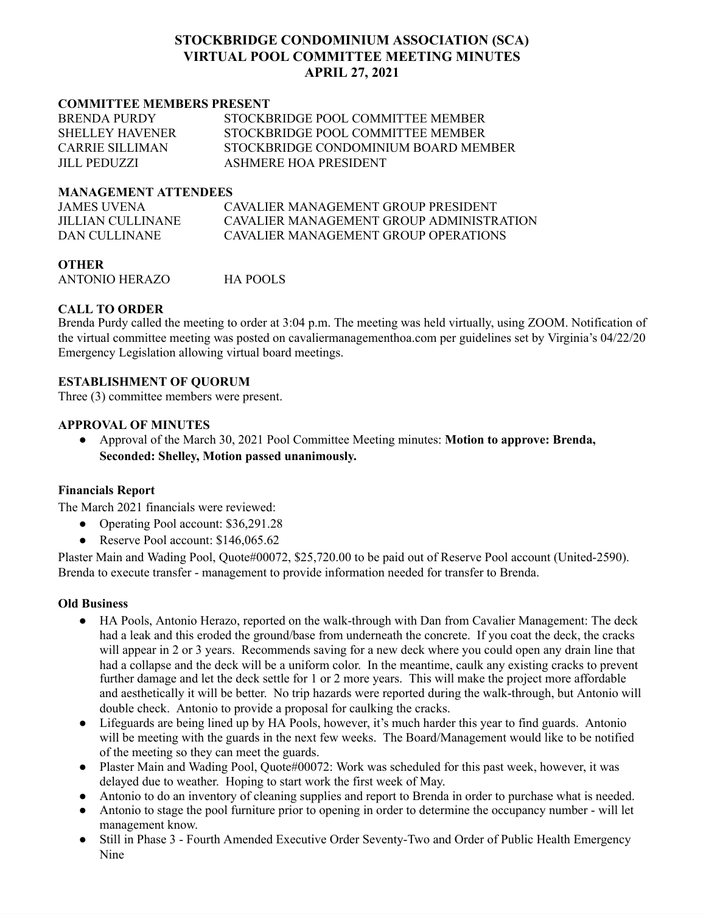# **STOCKBRIDGE CONDOMINIUM ASSOCIATION (SCA) VIRTUAL POOL COMMITTEE MEETING MINUTES APRIL 27, 2021**

#### **COMMITTEE MEMBERS PRESENT**

| <b>BRENDA PURDY</b>    | STOCKBRIDGE POOL COMMITTEE MEMBER    |
|------------------------|--------------------------------------|
| <b>SHELLEY HAVENER</b> | STOCKBRIDGE POOL COMMITTEE MEMBER    |
| CARRIE SILLIMAN        | STOCKBRIDGE CONDOMINIUM BOARD MEMBER |
| <b>JILL PEDUZZI</b>    | ASHMERE HOA PRESIDENT                |

#### **MANAGEMENT ATTENDEES**

| <b>JAMES UVENA</b> | CAVALIER MANAGEMENT GROUP PRESIDENT      |
|--------------------|------------------------------------------|
| JILLIAN CULLINANE  | CAVALIER MANAGEMENT GROUP ADMINISTRATION |
| DAN CULLINANE      | CAVALIER MANAGEMENT GROUP OPER ATIONS    |

**OTHER** ANTONIO HERAZO HA POOLS

## **CALL TO ORDER**

Brenda Purdy called the meeting to order at 3:04 p.m. The meeting was held virtually, using ZOOM. Notification of the virtual committee meeting was posted on cavaliermanagementhoa.com per guidelines set by Virginia's 04/22/20 Emergency Legislation allowing virtual board meetings.

## **ESTABLISHMENT OF QUORUM**

Three (3) committee members were present.

### **APPROVAL OF MINUTES**

● Approval of the March 30, 2021 Pool Committee Meeting minutes: **Motion to approve: Brenda, Seconded: Shelley, Motion passed unanimously.**

### **Financials Report**

The March 2021 financials were reviewed:

- Operating Pool account: \$36,291.28
- Reserve Pool account: \$146,065.62

Plaster Main and Wading Pool, Quote#00072, \$25,720.00 to be paid out of Reserve Pool account (United-2590). Brenda to execute transfer - management to provide information needed for transfer to Brenda.

### **Old Business**

- HA Pools, Antonio Herazo, reported on the walk-through with Dan from Cavalier Management: The deck had a leak and this eroded the ground/base from underneath the concrete. If you coat the deck, the cracks will appear in 2 or 3 years. Recommends saving for a new deck where you could open any drain line that had a collapse and the deck will be a uniform color. In the meantime, caulk any existing cracks to prevent further damage and let the deck settle for 1 or 2 more years. This will make the project more affordable and aesthetically it will be better. No trip hazards were reported during the walk-through, but Antonio will double check. Antonio to provide a proposal for caulking the cracks.
- Lifeguards are being lined up by HA Pools, however, it's much harder this year to find guards. Antonio will be meeting with the guards in the next few weeks. The Board/Management would like to be notified of the meeting so they can meet the guards.
- Plaster Main and Wading Pool, Quote#00072: Work was scheduled for this past week, however, it was delayed due to weather. Hoping to start work the first week of May.
- Antonio to do an inventory of cleaning supplies and report to Brenda in order to purchase what is needed.
- Antonio to stage the pool furniture prior to opening in order to determine the occupancy number will let management know.
- Still in Phase 3 Fourth Amended Executive Order Seventy-Two and Order of Public Health Emergency Nine